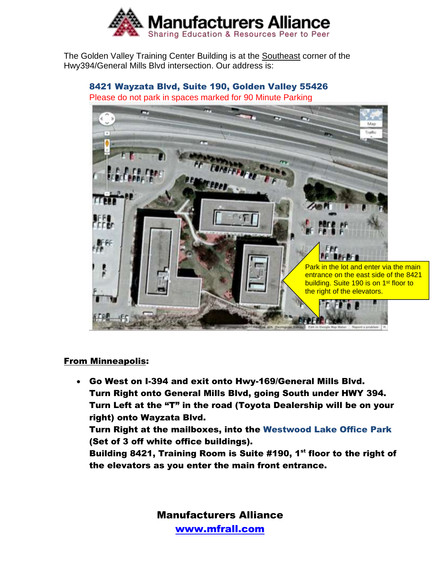

The Golden Valley Training Center Building is at the Southeast corner of the Hwy394/General Mills Blvd intersection. Our address is:

## 8421 Wayzata Blvd, Suite 190, Golden Valley 55426

Please do not park in spaces marked for 90 Minute Parking



## From Minneapolis:

• Go West on I-394 and exit onto Hwy-169/General Mills Blvd. Turn Right onto General Mills Blvd, going South under HWY 394. Turn Left at the "T" in the road (Toyota Dealership will be on your right) onto Wayzata Blvd.

Turn Right at the mailboxes, into the Westwood Lake Office Park (Set of 3 off white office buildings).

Building 8421, Training Room is Suite #190, 1<sup>st</sup> floor to the right of the elevators as you enter the main front entrance.

> Manufacturers Alliance [www.mfrall.com](http://www.mfrall.com/)